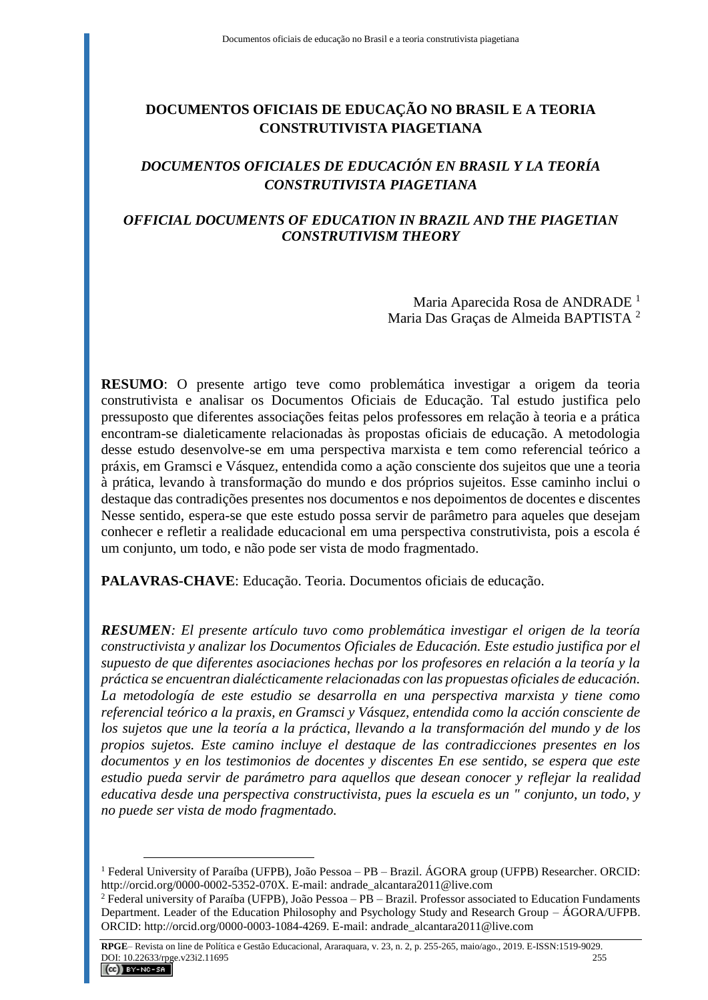# **DOCUMENTOS OFICIAIS DE EDUCAÇÃO NO BRASIL E A TEORIA CONSTRUTIVISTA PIAGETIANA**

# *DOCUMENTOS OFICIALES DE EDUCACIÓN EN BRASIL Y LA TEORÍA CONSTRUTIVISTA PIAGETIANA*

## *OFFICIAL DOCUMENTS OF EDUCATION IN BRAZIL AND THE PIAGETIAN CONSTRUTIVISM THEORY*

Maria Aparecida Rosa de ANDRADE <sup>1</sup> Maria Das Graças de Almeida BAPTISTA <sup>2</sup>

**RESUMO**: O presente artigo teve como problemática investigar a origem da teoria construtivista e analisar os Documentos Oficiais de Educação. Tal estudo justifica pelo pressuposto que diferentes associações feitas pelos professores em relação à teoria e a prática encontram-se dialeticamente relacionadas às propostas oficiais de educação. A metodologia desse estudo desenvolve-se em uma perspectiva marxista e tem como referencial teórico a práxis, em Gramsci e Vásquez, entendida como a ação consciente dos sujeitos que une a teoria à prática, levando à transformação do mundo e dos próprios sujeitos. Esse caminho inclui o destaque das contradições presentes nos documentos e nos depoimentos de docentes e discentes Nesse sentido, espera-se que este estudo possa servir de parâmetro para aqueles que desejam conhecer e refletir a realidade educacional em uma perspectiva construtivista, pois a escola é um conjunto, um todo, e não pode ser vista de modo fragmentado.

**PALAVRAS-CHAVE**: Educação. Teoria. Documentos oficiais de educação.

*RESUMEN: El presente artículo tuvo como problemática investigar el origen de la teoría constructivista y analizar los Documentos Oficiales de Educación. Este estudio justifica por el supuesto de que diferentes asociaciones hechas por los profesores en relación a la teoría y la práctica se encuentran dialécticamente relacionadas con las propuestas oficiales de educación. La metodología de este estudio se desarrolla en una perspectiva marxista y tiene como referencial teórico a la praxis, en Gramsci y Vásquez, entendida como la acción consciente de los sujetos que une la teoría a la práctica, llevando a la transformación del mundo y de los propios sujetos. Este camino incluye el destaque de las contradicciones presentes en los documentos y en los testimonios de docentes y discentes En ese sentido, se espera que este estudio pueda servir de parámetro para aquellos que desean conocer y reflejar la realidad educativa desde una perspectiva constructivista, pues la escuela es un " conjunto, un todo, y no puede ser vista de modo fragmentado.*

<sup>1</sup> Federal University of Paraíba (UFPB), João Pessoa – PB – Brazil. ÁGORA group (UFPB) Researcher. ORCID: http://orcid.org/0000-0002-5352-070X. E-mail: [andrade\\_alcantara2011@live.com](mailto:andrade_alcantara2011@live.com)

<sup>2</sup> Federal university of Paraíba (UFPB), João Pessoa – PB – Brazil. Professor associated to Education Fundaments Department. Leader of the Education Philosophy and Psychology Study and Research Group – ÁGORA/UFPB. ORCID: http://orcid.org/0000-0003-1084-4269. E-mail: andrade\_alcantara2011@live.com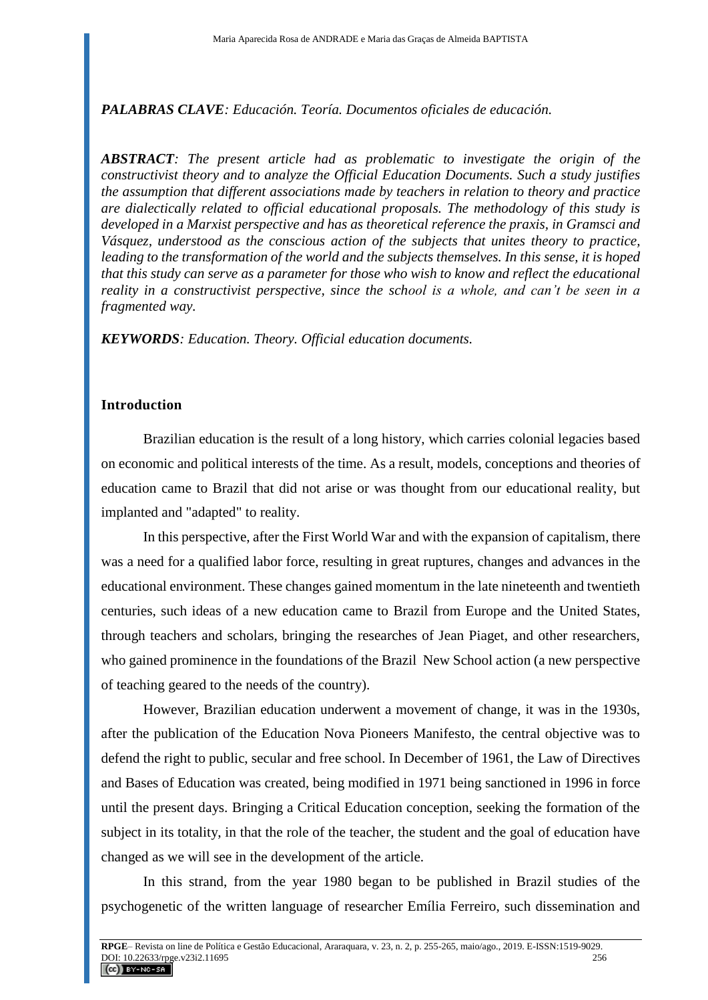*PALABRAS CLAVE: Educación. Teoría. Documentos oficiales de educación.*

*ABSTRACT: The present article had as problematic to investigate the origin of the constructivist theory and to analyze the Official Education Documents. Such a study justifies the assumption that different associations made by teachers in relation to theory and practice are dialectically related to official educational proposals. The methodology of this study is developed in a Marxist perspective and has as theoretical reference the praxis, in Gramsci and Vásquez, understood as the conscious action of the subjects that unites theory to practice, leading to the transformation of the world and the subjects themselves. In this sense, it is hoped that this study can serve as a parameter for those who wish to know and reflect the educational reality in a constructivist perspective, since the school is a whole, and can't be seen in a fragmented way.*

*KEYWORDS: Education. Theory. Official education documents.*

## **Introduction**

Brazilian education is the result of a long history, which carries colonial legacies based on economic and political interests of the time. As a result, models, conceptions and theories of education came to Brazil that did not arise or was thought from our educational reality, but implanted and "adapted" to reality.

In this perspective, after the First World War and with the expansion of capitalism, there was a need for a qualified labor force, resulting in great ruptures, changes and advances in the educational environment. These changes gained momentum in the late nineteenth and twentieth centuries, such ideas of a new education came to Brazil from Europe and the United States, through teachers and scholars, bringing the researches of Jean Piaget, and other researchers, who gained prominence in the foundations of the Brazil New School action (a new perspective of teaching geared to the needs of the country).

However, Brazilian education underwent a movement of change, it was in the 1930s, after the publication of the Education Nova Pioneers Manifesto, the central objective was to defend the right to public, secular and free school. In December of 1961, the Law of Directives and Bases of Education was created, being modified in 1971 being sanctioned in 1996 in force until the present days. Bringing a Critical Education conception, seeking the formation of the subject in its totality, in that the role of the teacher, the student and the goal of education have changed as we will see in the development of the article.

In this strand, from the year 1980 began to be published in Brazil studies of the psychogenetic of the written language of researcher Emília Ferreiro, such dissemination and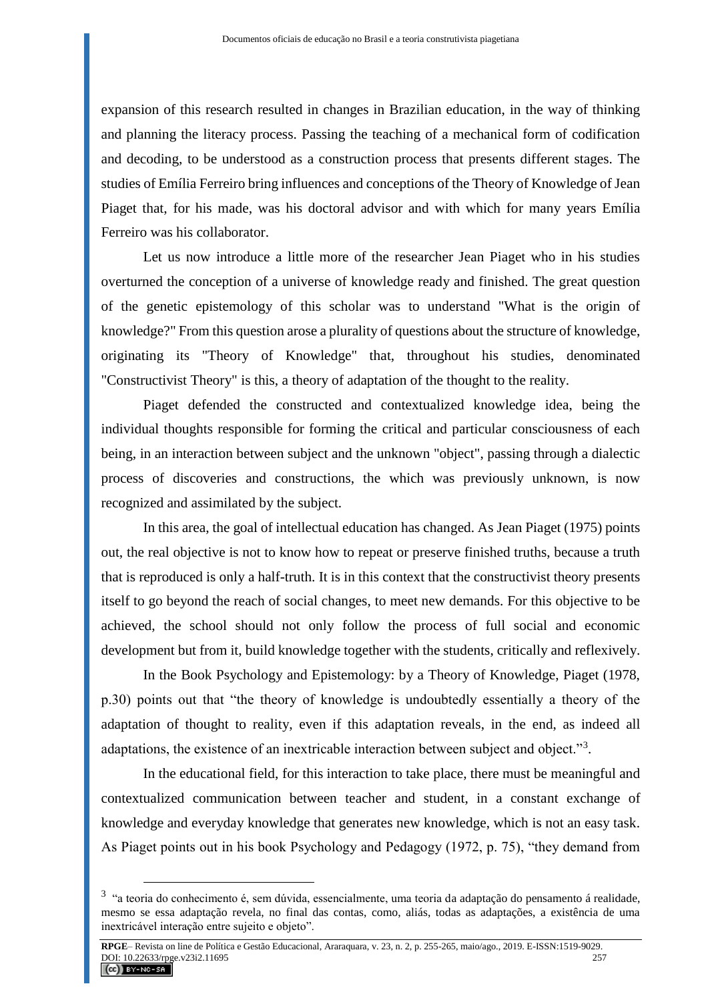expansion of this research resulted in changes in Brazilian education, in the way of thinking and planning the literacy process. Passing the teaching of a mechanical form of codification and decoding, to be understood as a construction process that presents different stages. The studies of Emília Ferreiro bring influences and conceptions of the Theory of Knowledge of Jean Piaget that, for his made, was his doctoral advisor and with which for many years Emília Ferreiro was his collaborator.

Let us now introduce a little more of the researcher Jean Piaget who in his studies overturned the conception of a universe of knowledge ready and finished. The great question of the genetic epistemology of this scholar was to understand "What is the origin of knowledge?" From this question arose a plurality of questions about the structure of knowledge, originating its "Theory of Knowledge" that, throughout his studies, denominated "Constructivist Theory" is this, a theory of adaptation of the thought to the reality.

Piaget defended the constructed and contextualized knowledge idea, being the individual thoughts responsible for forming the critical and particular consciousness of each being, in an interaction between subject and the unknown "object", passing through a dialectic process of discoveries and constructions, the which was previously unknown, is now recognized and assimilated by the subject.

In this area, the goal of intellectual education has changed. As Jean Piaget (1975) points out, the real objective is not to know how to repeat or preserve finished truths, because a truth that is reproduced is only a half-truth. It is in this context that the constructivist theory presents itself to go beyond the reach of social changes, to meet new demands. For this objective to be achieved, the school should not only follow the process of full social and economic development but from it, build knowledge together with the students, critically and reflexively.

In the Book Psychology and Epistemology: by a Theory of Knowledge, Piaget (1978, p.30) points out that "the theory of knowledge is undoubtedly essentially a theory of the adaptation of thought to reality, even if this adaptation reveals, in the end, as indeed all adaptations, the existence of an inextricable interaction between subject and object."3.

In the educational field, for this interaction to take place, there must be meaningful and contextualized communication between teacher and student, in a constant exchange of knowledge and everyday knowledge that generates new knowledge, which is not an easy task. As Piaget points out in his book Psychology and Pedagogy (1972, p. 75), "they demand from

<sup>&</sup>lt;sup>3</sup> "a teoria do conhecimento é, sem dúvida, essencialmente, uma teoria da adaptação do pensamento á realidade, mesmo se essa adaptação revela, no final das contas, como, aliás, todas as adaptações, a existência de uma inextricável interação entre sujeito e objeto".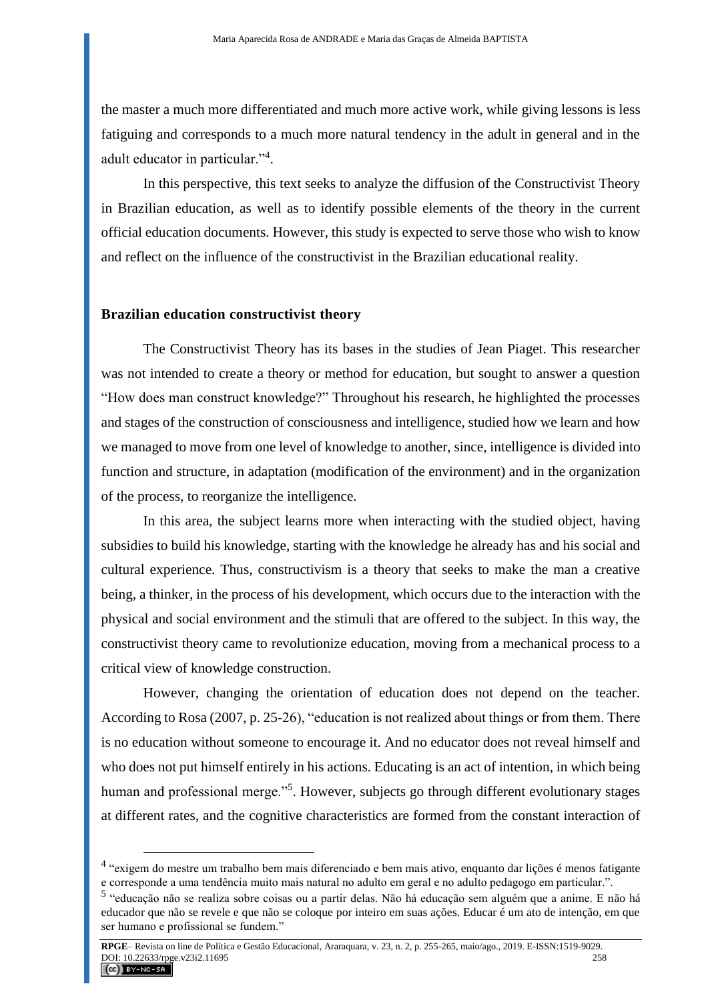the master a much more differentiated and much more active work, while giving lessons is less fatiguing and corresponds to a much more natural tendency in the adult in general and in the adult educator in particular."<sup>4</sup>.

In this perspective, this text seeks to analyze the diffusion of the Constructivist Theory in Brazilian education, as well as to identify possible elements of the theory in the current official education documents. However, this study is expected to serve those who wish to know and reflect on the influence of the constructivist in the Brazilian educational reality.

#### **Brazilian education constructivist theory**

 $\overline{a}$ 

The Constructivist Theory has its bases in the studies of Jean Piaget. This researcher was not intended to create a theory or method for education, but sought to answer a question "How does man construct knowledge?" Throughout his research, he highlighted the processes and stages of the construction of consciousness and intelligence, studied how we learn and how we managed to move from one level of knowledge to another, since, intelligence is divided into function and structure, in adaptation (modification of the environment) and in the organization of the process, to reorganize the intelligence.

In this area, the subject learns more when interacting with the studied object, having subsidies to build his knowledge, starting with the knowledge he already has and his social and cultural experience. Thus, constructivism is a theory that seeks to make the man a creative being, a thinker, in the process of his development, which occurs due to the interaction with the physical and social environment and the stimuli that are offered to the subject. In this way, the constructivist theory came to revolutionize education, moving from a mechanical process to a critical view of knowledge construction.

However, changing the orientation of education does not depend on the teacher. According to Rosa (2007, p. 25-26), "education is not realized about things or from them. There is no education without someone to encourage it. And no educator does not reveal himself and who does not put himself entirely in his actions. Educating is an act of intention, in which being human and professional merge."<sup>5</sup>. However, subjects go through different evolutionary stages at different rates, and the cognitive characteristics are formed from the constant interaction of

<sup>&</sup>lt;sup>4</sup> "exigem do mestre um trabalho bem mais diferenciado e bem mais ativo, enquanto dar lições é menos fatigante e corresponde a uma tendência muito mais natural no adulto em geral e no adulto pedagogo em particular.".

<sup>5</sup> "educação não se realiza sobre coisas ou a partir delas. Não há educação sem alguém que a anime. E não há educador que não se revele e que não se coloque por inteiro em suas ações. Educar é um ato de intenção, em que ser humano e profissional se fundem."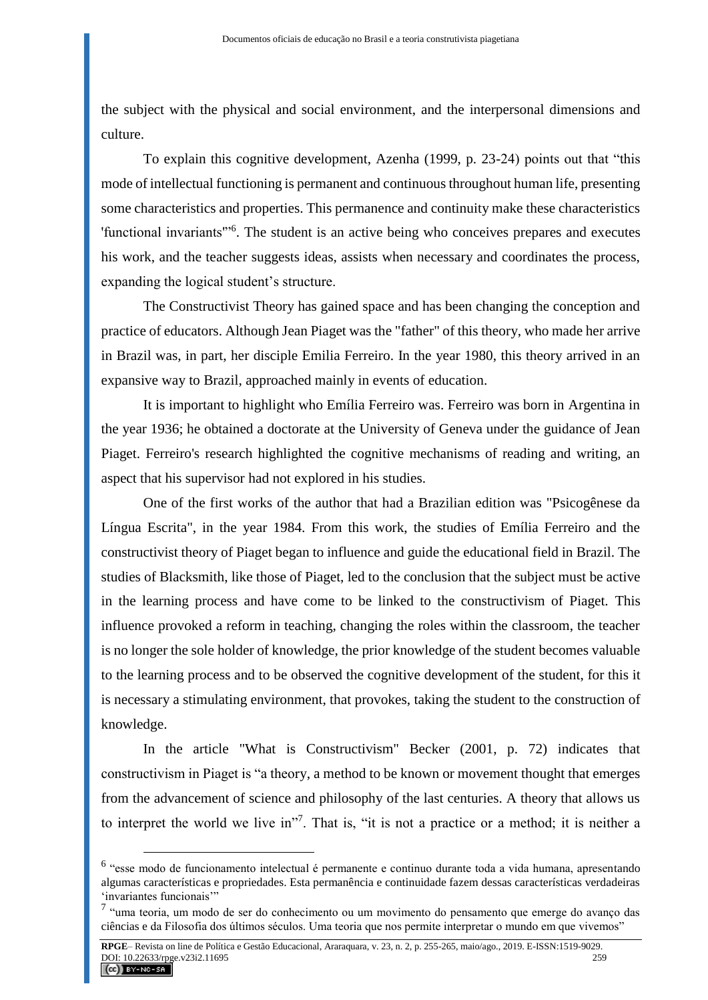the subject with the physical and social environment, and the interpersonal dimensions and culture.

To explain this cognitive development, Azenha (1999, p. 23-24) points out that "this mode of intellectual functioning is permanent and continuous throughout human life, presenting some characteristics and properties. This permanence and continuity make these characteristics 'functional invariants"<sup>56</sup>. The student is an active being who conceives prepares and executes his work, and the teacher suggests ideas, assists when necessary and coordinates the process, expanding the logical student's structure.

The Constructivist Theory has gained space and has been changing the conception and practice of educators. Although Jean Piaget was the "father" of this theory, who made her arrive in Brazil was, in part, her disciple Emilia Ferreiro. In the year 1980, this theory arrived in an expansive way to Brazil, approached mainly in events of education.

It is important to highlight who Emília Ferreiro was. Ferreiro was born in Argentina in the year 1936; he obtained a doctorate at the University of Geneva under the guidance of Jean Piaget. Ferreiro's research highlighted the cognitive mechanisms of reading and writing, an aspect that his supervisor had not explored in his studies.

One of the first works of the author that had a Brazilian edition was "Psicogênese da Língua Escrita", in the year 1984. From this work, the studies of Emília Ferreiro and the constructivist theory of Piaget began to influence and guide the educational field in Brazil. The studies of Blacksmith, like those of Piaget, led to the conclusion that the subject must be active in the learning process and have come to be linked to the constructivism of Piaget. This influence provoked a reform in teaching, changing the roles within the classroom, the teacher is no longer the sole holder of knowledge, the prior knowledge of the student becomes valuable to the learning process and to be observed the cognitive development of the student, for this it is necessary a stimulating environment, that provokes, taking the student to the construction of knowledge.

In the article "What is Constructivism" Becker (2001, p. 72) indicates that constructivism in Piaget is "a theory, a method to be known or movement thought that emerges from the advancement of science and philosophy of the last centuries. A theory that allows us to interpret the world we live in"<sup>7</sup>. That is, "it is not a practice or a method; it is neither a

<sup>&</sup>lt;sup>6</sup> "esse modo de funcionamento intelectual é permanente e continuo durante toda a vida humana, apresentando algumas características e propriedades. Esta permanência e continuidade fazem dessas características verdadeiras 'invariantes funcionais'"

<sup>&</sup>lt;sup>7</sup> "uma teoria, um modo de ser do conhecimento ou um movimento do pensamento que emerge do avanço das ciências e da Filosofia dos últimos séculos. Uma teoria que nos permite interpretar o mundo em que vivemos"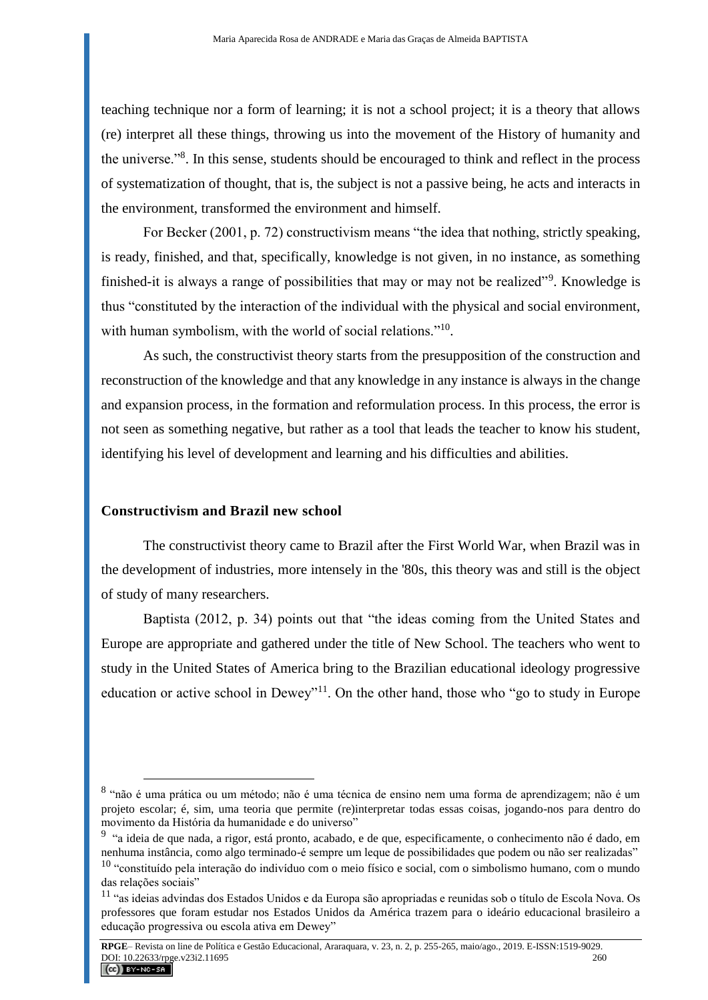teaching technique nor a form of learning; it is not a school project; it is a theory that allows (re) interpret all these things, throwing us into the movement of the History of humanity and the universe."<sup>8</sup> . In this sense, students should be encouraged to think and reflect in the process of systematization of thought, that is, the subject is not a passive being, he acts and interacts in the environment, transformed the environment and himself.

For Becker (2001, p. 72) constructivism means "the idea that nothing, strictly speaking, is ready, finished, and that, specifically, knowledge is not given, in no instance, as something finished-it is always a range of possibilities that may or may not be realized"<sup>9</sup>. Knowledge is thus "constituted by the interaction of the individual with the physical and social environment, with human symbolism, with the world of social relations."<sup>10</sup>.

As such, the constructivist theory starts from the presupposition of the construction and reconstruction of the knowledge and that any knowledge in any instance is always in the change and expansion process, in the formation and reformulation process. In this process, the error is not seen as something negative, but rather as a tool that leads the teacher to know his student, identifying his level of development and learning and his difficulties and abilities.

### **Constructivism and Brazil new school**

 $\overline{a}$ 

The constructivist theory came to Brazil after the First World War, when Brazil was in the development of industries, more intensely in the '80s, this theory was and still is the object of study of many researchers.

Baptista (2012, p. 34) points out that "the ideas coming from the United States and Europe are appropriate and gathered under the title of New School. The teachers who went to study in the United States of America bring to the Brazilian educational ideology progressive education or active school in Dewey"<sup>11</sup>. On the other hand, those who "go to study in Europe"

<sup>8</sup> "não é uma prática ou um método; não é uma técnica de ensino nem uma forma de aprendizagem; não é um projeto escolar; é, sim, uma teoria que permite (re)interpretar todas essas coisas, jogando-nos para dentro do movimento da História da humanidade e do universo"

<sup>&</sup>lt;sup>9</sup> "a ideia de que nada, a rigor, está pronto, acabado, e de que, especificamente, o conhecimento não é dado, em nenhuma instância, como algo terminado-é sempre um leque de possibilidades que podem ou não ser realizadas"

<sup>10</sup> "constituído pela interação do indivíduo com o meio físico e social, com o simbolismo humano, com o mundo das relações sociais"

<sup>11</sup> "as ideias advindas dos Estados Unidos e da Europa são apropriadas e reunidas sob o título de Escola Nova. Os professores que foram estudar nos Estados Unidos da América trazem para o ideário educacional brasileiro a educação progressiva ou escola ativa em Dewey"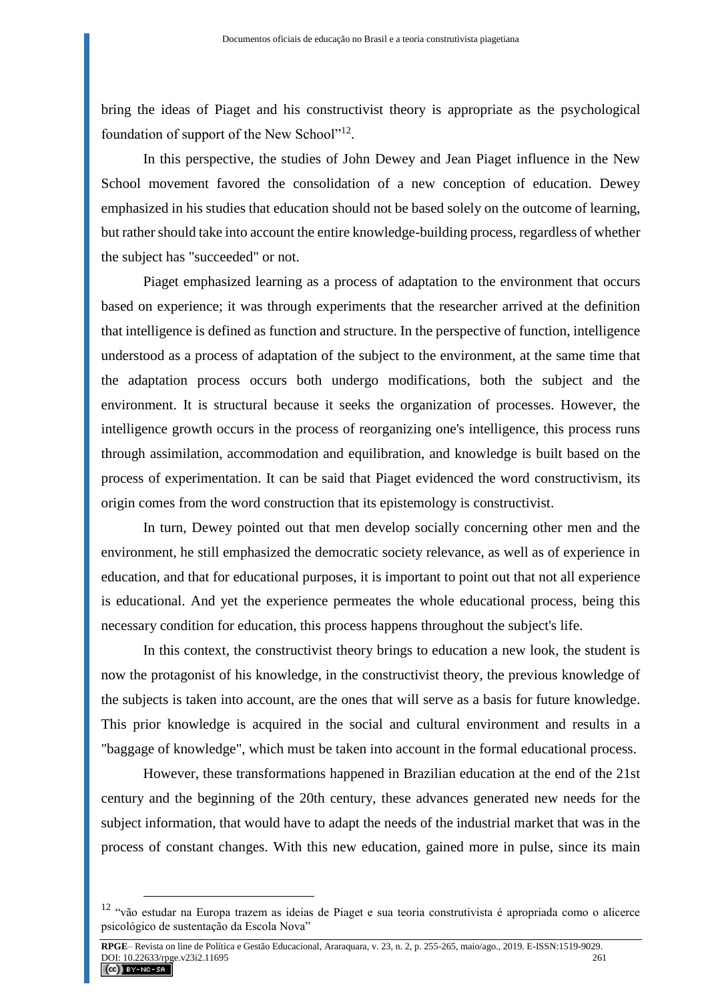bring the ideas of Piaget and his constructivist theory is appropriate as the psychological foundation of support of the New School"<sup>12</sup>.

In this perspective, the studies of John Dewey and Jean Piaget influence in the New School movement favored the consolidation of a new conception of education. Dewey emphasized in his studies that education should not be based solely on the outcome of learning, but rather should take into account the entire knowledge-building process, regardless of whether the subject has "succeeded" or not.

Piaget emphasized learning as a process of adaptation to the environment that occurs based on experience; it was through experiments that the researcher arrived at the definition that intelligence is defined as function and structure. In the perspective of function, intelligence understood as a process of adaptation of the subject to the environment, at the same time that the adaptation process occurs both undergo modifications, both the subject and the environment. It is structural because it seeks the organization of processes. However, the intelligence growth occurs in the process of reorganizing one's intelligence, this process runs through assimilation, accommodation and equilibration, and knowledge is built based on the process of experimentation. It can be said that Piaget evidenced the word constructivism, its origin comes from the word construction that its epistemology is constructivist.

In turn, Dewey pointed out that men develop socially concerning other men and the environment, he still emphasized the democratic society relevance, as well as of experience in education, and that for educational purposes, it is important to point out that not all experience is educational. And yet the experience permeates the whole educational process, being this necessary condition for education, this process happens throughout the subject's life.

In this context, the constructivist theory brings to education a new look, the student is now the protagonist of his knowledge, in the constructivist theory, the previous knowledge of the subjects is taken into account, are the ones that will serve as a basis for future knowledge. This prior knowledge is acquired in the social and cultural environment and results in a "baggage of knowledge", which must be taken into account in the formal educational process.

However, these transformations happened in Brazilian education at the end of the 21st century and the beginning of the 20th century, these advances generated new needs for the subject information, that would have to adapt the needs of the industrial market that was in the process of constant changes. With this new education, gained more in pulse, since its main

<sup>12</sup> "vão estudar na Europa trazem as ideias de Piaget e sua teoria construtivista é apropriada como o alicerce psicológico de sustentação da Escola Nova"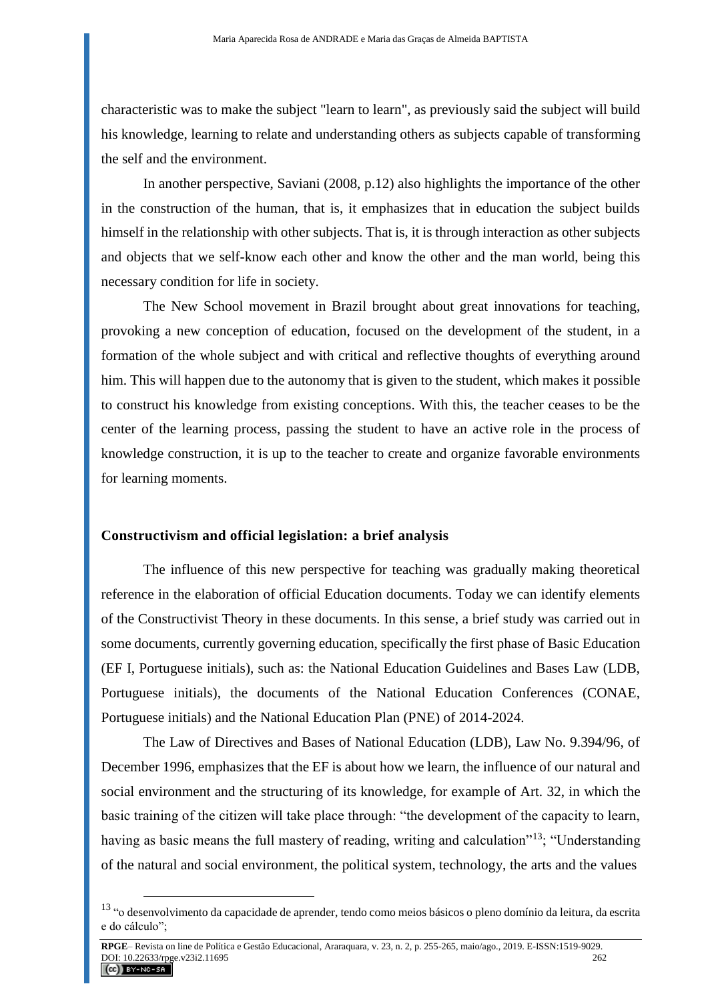characteristic was to make the subject "learn to learn", as previously said the subject will build his knowledge, learning to relate and understanding others as subjects capable of transforming the self and the environment.

In another perspective, Saviani (2008, p.12) also highlights the importance of the other in the construction of the human, that is, it emphasizes that in education the subject builds himself in the relationship with other subjects. That is, it is through interaction as other subjects and objects that we self-know each other and know the other and the man world, being this necessary condition for life in society.

The New School movement in Brazil brought about great innovations for teaching, provoking a new conception of education, focused on the development of the student, in a formation of the whole subject and with critical and reflective thoughts of everything around him. This will happen due to the autonomy that is given to the student, which makes it possible to construct his knowledge from existing conceptions. With this, the teacher ceases to be the center of the learning process, passing the student to have an active role in the process of knowledge construction, it is up to the teacher to create and organize favorable environments for learning moments.

#### **Constructivism and official legislation: a brief analysis**

 $\overline{a}$ 

The influence of this new perspective for teaching was gradually making theoretical reference in the elaboration of official Education documents. Today we can identify elements of the Constructivist Theory in these documents. In this sense, a brief study was carried out in some documents, currently governing education, specifically the first phase of Basic Education (EF I, Portuguese initials), such as: the National Education Guidelines and Bases Law (LDB, Portuguese initials), the documents of the National Education Conferences (CONAE, Portuguese initials) and the National Education Plan (PNE) of 2014-2024.

The Law of Directives and Bases of National Education (LDB), Law No. 9.394/96, of December 1996, emphasizes that the EF is about how we learn, the influence of our natural and social environment and the structuring of its knowledge, for example of Art. 32, in which the basic training of the citizen will take place through: "the development of the capacity to learn, having as basic means the full mastery of reading, writing and calculation"<sup>13</sup>; "Understanding of the natural and social environment, the political system, technology, the arts and the values

<sup>&</sup>lt;sup>13</sup> "o desenvolvimento da capacidade de aprender, tendo como meios básicos o pleno domínio da leitura, da escrita e do cálculo";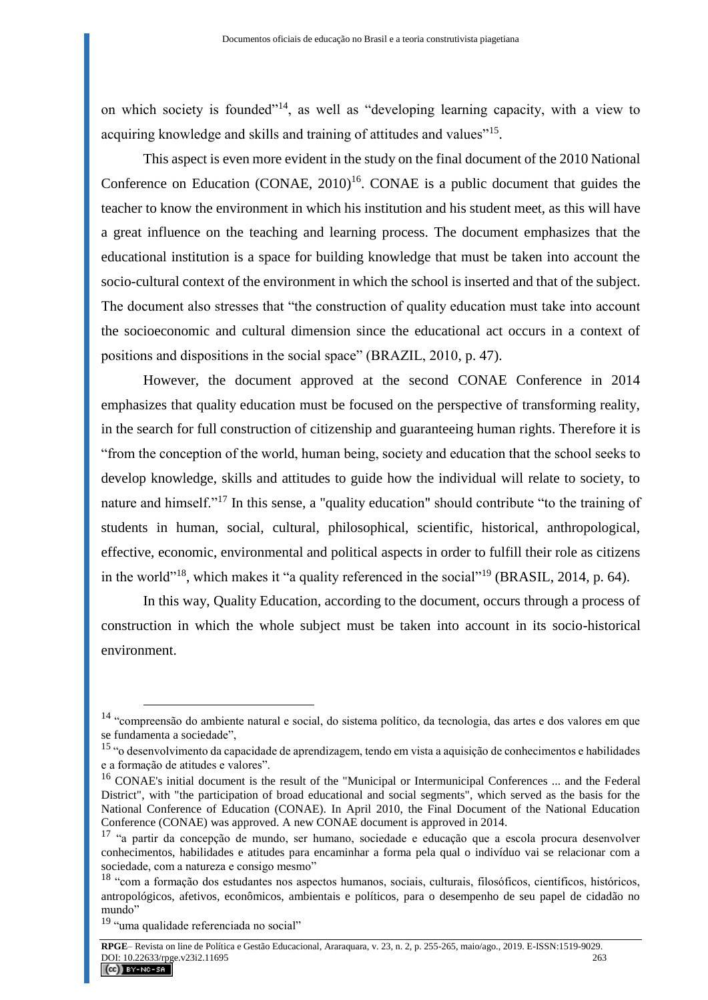on which society is founded"<sup>14</sup>, as well as "developing learning capacity, with a view to acquiring knowledge and skills and training of attitudes and values"<sup>15</sup>.

This aspect is even more evident in the study on the final document of the 2010 National Conference on Education (CONAE, 2010) <sup>16</sup>. CONAE is a public document that guides the teacher to know the environment in which his institution and his student meet, as this will have a great influence on the teaching and learning process. The document emphasizes that the educational institution is a space for building knowledge that must be taken into account the socio-cultural context of the environment in which the school is inserted and that of the subject. The document also stresses that "the construction of quality education must take into account the socioeconomic and cultural dimension since the educational act occurs in a context of positions and dispositions in the social space" (BRAZIL, 2010, p. 47).

However, the document approved at the second CONAE Conference in 2014 emphasizes that quality education must be focused on the perspective of transforming reality, in the search for full construction of citizenship and guaranteeing human rights. Therefore it is "from the conception of the world, human being, society and education that the school seeks to develop knowledge, skills and attitudes to guide how the individual will relate to society, to nature and himself."<sup>17</sup> In this sense, a "quality education" should contribute "to the training of students in human, social, cultural, philosophical, scientific, historical, anthropological, effective, economic, environmental and political aspects in order to fulfill their role as citizens in the world"<sup>18</sup>, which makes it "a quality referenced in the social"<sup>19</sup> (BRASIL, 2014, p. 64).

In this way, Quality Education, according to the document, occurs through a process of construction in which the whole subject must be taken into account in its socio-historical environment.

<sup>&</sup>lt;sup>14</sup> "compreensão do ambiente natural e social, do sistema político, da tecnologia, das artes e dos valores em que se fundamenta a sociedade",

<sup>15</sup> "o desenvolvimento da capacidade de aprendizagem, tendo em vista a aquisição de conhecimentos e habilidades e a formação de atitudes e valores".

<sup>&</sup>lt;sup>16</sup> CONAE's initial document is the result of the "Municipal or Intermunicipal Conferences ... and the Federal District", with "the participation of broad educational and social segments", which served as the basis for the National Conference of Education (CONAE). In April 2010, the Final Document of the National Education Conference (CONAE) was approved. A new CONAE document is approved in 2014.

<sup>&</sup>lt;sup>17</sup> "a partir da concepção de mundo, ser humano, sociedade e educação que a escola procura desenvolver conhecimentos, habilidades e atitudes para encaminhar a forma pela qual o indivíduo vai se relacionar com a sociedade, com a natureza e consigo mesmo"

<sup>18</sup> "com a formação dos estudantes nos aspectos humanos, sociais, culturais, filosóficos, científicos, históricos, antropológicos, afetivos, econômicos, ambientais e políticos, para o desempenho de seu papel de cidadão no mundo"

<sup>&</sup>lt;sup>19</sup> "uma qualidade referenciada no social"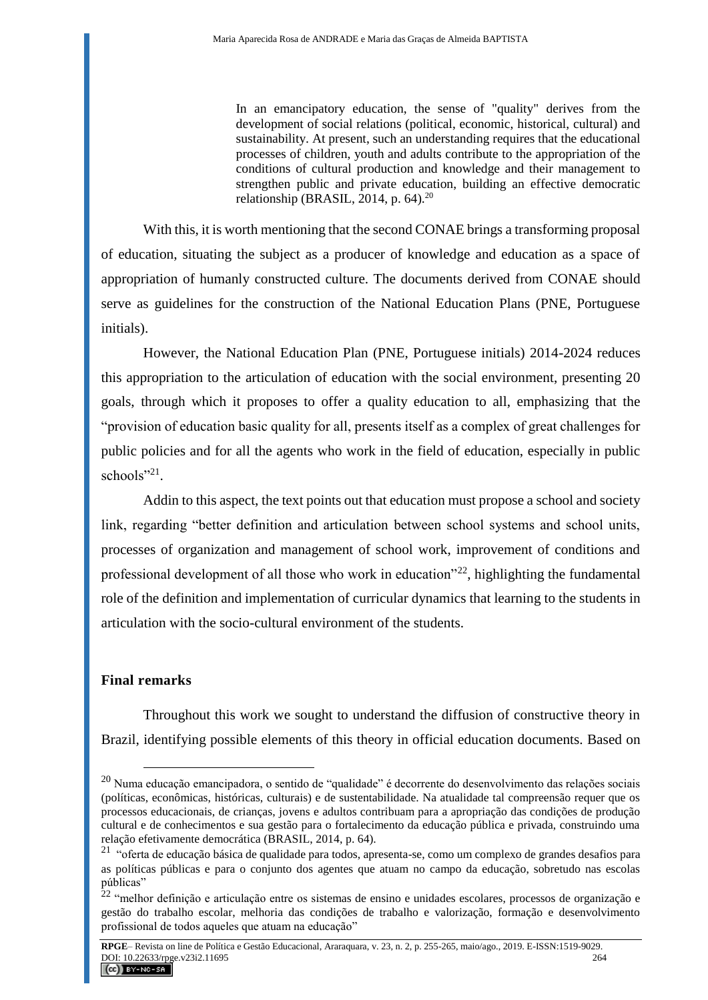In an emancipatory education, the sense of "quality" derives from the development of social relations (political, economic, historical, cultural) and sustainability. At present, such an understanding requires that the educational processes of children, youth and adults contribute to the appropriation of the conditions of cultural production and knowledge and their management to strengthen public and private education, building an effective democratic relationship (BRASIL, 2014, p. 64). $^{20}$ 

With this, it is worth mentioning that the second CONAE brings a transforming proposal of education, situating the subject as a producer of knowledge and education as a space of appropriation of humanly constructed culture. The documents derived from CONAE should serve as guidelines for the construction of the National Education Plans (PNE, Portuguese initials).

However, the National Education Plan (PNE, Portuguese initials) 2014-2024 reduces this appropriation to the articulation of education with the social environment, presenting 20 goals, through which it proposes to offer a quality education to all, emphasizing that the "provision of education basic quality for all, presents itself as a complex of great challenges for public policies and for all the agents who work in the field of education, especially in public schools"<sup>21</sup>.

Addin to this aspect, the text points out that education must propose a school and society link, regarding "better definition and articulation between school systems and school units, processes of organization and management of school work, improvement of conditions and professional development of all those who work in education<sup> $22$ </sup>, highlighting the fundamental role of the definition and implementation of curricular dynamics that learning to the students in articulation with the socio-cultural environment of the students.

## **Final remarks**

 $\overline{a}$ 

Throughout this work we sought to understand the diffusion of constructive theory in Brazil, identifying possible elements of this theory in official education documents. Based on

<sup>&</sup>lt;sup>20</sup> Numa educação emancipadora, o sentido de "qualidade" é decorrente do desenvolvimento das relações sociais (políticas, econômicas, históricas, culturais) e de sustentabilidade. Na atualidade tal compreensão requer que os processos educacionais, de crianças, jovens e adultos contribuam para a apropriação das condições de produção cultural e de conhecimentos e sua gestão para o fortalecimento da educação pública e privada, construindo uma relação efetivamente democrática (BRASIL, 2014, p. 64).

<sup>&</sup>lt;sup>21</sup> "oferta de educação básica de qualidade para todos, apresenta-se, como um complexo de grandes desafios para as políticas públicas e para o conjunto dos agentes que atuam no campo da educação, sobretudo nas escolas públicas"

 $^{22}$  "melhor definição e articulação entre os sistemas de ensino e unidades escolares, processos de organização e gestão do trabalho escolar, melhoria das condições de trabalho e valorização, formação e desenvolvimento profissional de todos aqueles que atuam na educação"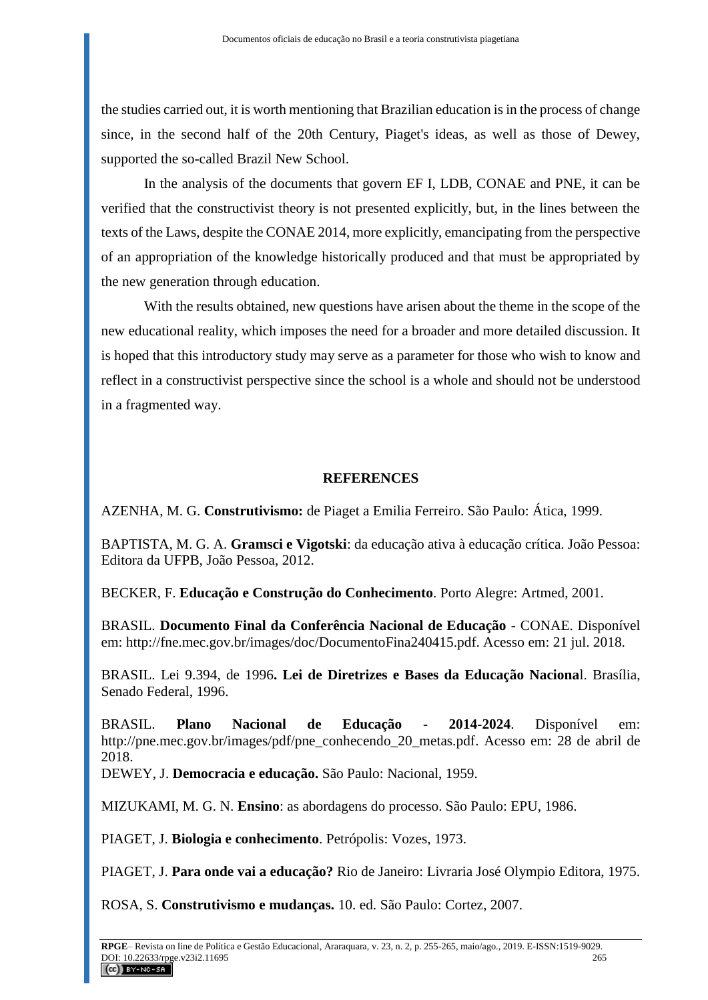the studies carried out, it is worth mentioning that Brazilian education is in the process of change since, in the second half of the 20th Century, Piaget's ideas, as well as those of Dewey, supported the so-called Brazil New School.

In the analysis of the documents that govern EF I, LDB, CONAE and PNE, it can be verified that the constructivist theory is not presented explicitly, but, in the lines between the texts of the Laws, despite the CONAE 2014, more explicitly, emancipating from the perspective of an appropriation of the knowledge historically produced and that must be appropriated by the new generation through education.

With the results obtained, new questions have arisen about the theme in the scope of the new educational reality, which imposes the need for a broader and more detailed discussion. It is hoped that this introductory study may serve as a parameter for those who wish to know and reflect in a constructivist perspective since the school is a whole and should not be understood in a fragmented way.

### **REFERENCES**

AZENHA, M. G. **Construtivismo:** de Piaget a Emilia Ferreiro. São Paulo: Ática, 1999.

BAPTISTA, M. G. A. **Gramsci e Vigotski**: da educação ativa à educação crítica. João Pessoa: Editora da UFPB, João Pessoa, 2012.

BECKER, F. **Educação e Construção do Conhecimento**. Porto Alegre: Artmed, 2001.

BRASIL. **Documento Final da Conferência Nacional de Educação** - CONAE. Disponível em: http://fne.mec.gov.br/images/doc/DocumentoFina240415.pdf. Acesso em: 21 jul. 2018.

BRASIL. Lei 9.394, de 1996**. Lei de Diretrizes e Bases da Educação Naciona**l. Brasília, Senado Federal, 1996.

BRASIL. **Plano Nacional de Educação - 2014-2024**. Disponível em: [http://pne.mec.gov.br/images/pdf/pne\\_conhecendo\\_20\\_metas.pdf.](http://pne.mec.gov.br/images/pdf/pne_conhecendo_20_metas.pdf) Acesso em: 28 de abril de 2018.

DEWEY, J. **Democracia e educação.** São Paulo: Nacional, 1959.

MIZUKAMI, M. G. N. **Ensino**: as abordagens do processo. São Paulo: EPU, 1986.

PIAGET, J. **Biologia e conhecimento**. Petrópolis: Vozes, 1973.

PIAGET, J. **Para onde vai a educação?** Rio de Janeiro: Livraria José Olympio Editora, 1975.

ROSA, S. **Construtivismo e mudanças.** 10. ed. São Paulo: Cortez, 2007.